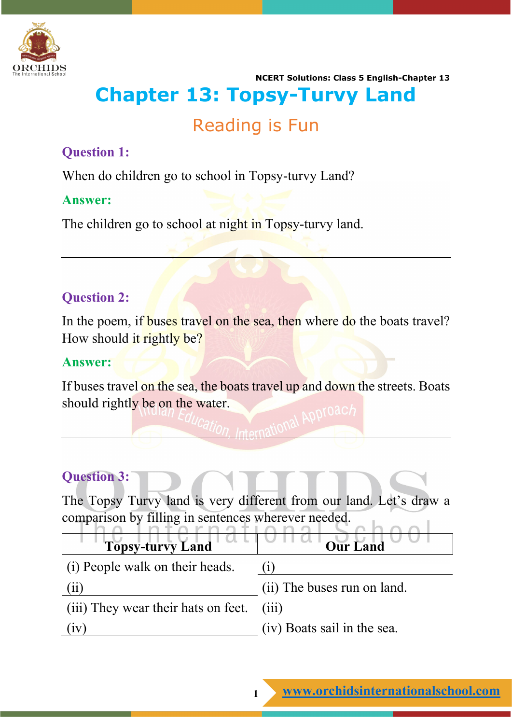

# **Chapter 13: Topsy-Turvy Land**

# Reading is Fun

# **Question 1:**

When do children go to school in Topsy-turvy Land?

#### **Answer:**

The children go to school at night in Topsy-turvy land.

# **Question 2:**

In the poem, if buses travel on the sea, then where do the boats travel? How should it rightly be?

#### **Answer:**

If buses travel on the sea, the boats travel up and down the streets. Boats should rightly be on the water.

# **Question 3:**

The Topsy Turvy land is very different from our land. Let's draw a comparison by filling in sentences wherever needed.  $\sim$   $\sim$  1

| <b>Topsy-turvy Land</b>             | <b>Our Land</b>             |
|-------------------------------------|-----------------------------|
| (i) People walk on their heads.     |                             |
| (11)                                | (ii) The buses run on land. |
| (iii) They wear their hats on feet. | (111)                       |
| 1V                                  | (iv) Boats sail in the sea. |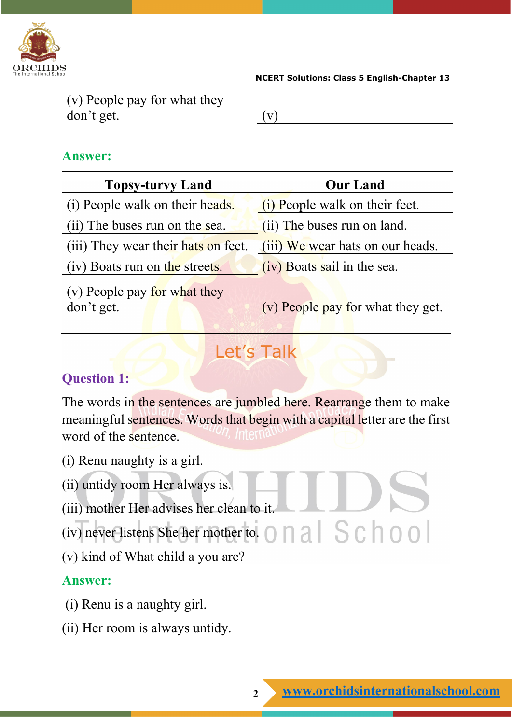

(v) People pay for what they don't get. (v)

# **Answer:**

| <b>Topsy-turvy Land</b>             | <b>Our Land</b>                  |
|-------------------------------------|----------------------------------|
| (i) People walk on their heads.     | (i) People walk on their feet.   |
| (ii) The buses run on the sea.      | (ii) The buses run on land.      |
| (iii) They wear their hats on feet. | (iii) We wear hats on our heads. |
| (iv) Boats run on the streets.      | (iv) Boats sail in the sea.      |
| $(v)$ People pay for what they      |                                  |

(v) People pay <u>for</u> what they

don't get. (v) People pay for what they get.

# Let's Talk

# **Question 1:**

The words in the sentences are jumbled here. Rearrange them to make meaningful sentences. Words that begin with a capital letter are the first word of the sentence.

- (i) Renu naughty is a girl.
- (ii) untidy room Her always is.
- (iii) mother Her advises her clean to it.
- (iv) never listens She her mother to.  $\bigcap$   $\bigcap$   $\bigcap$   $\bigcap$   $\bigcap$   $\bigcap$   $\bigcap$   $\bigcap$   $\bigcap$
- (v) kind of What child a you are?

# **Answer:**

- (i) Renu is a naughty girl.
- (ii) Her room is always untidy.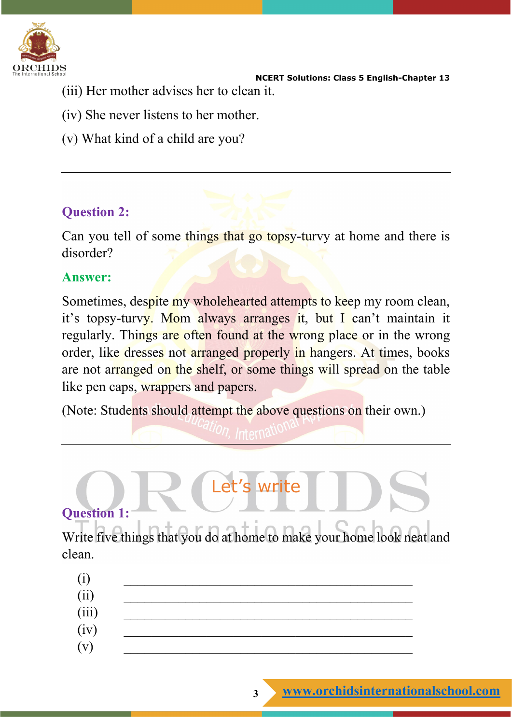

- (iii) Her mother advises her to clean it.
- (iv) She never listens to her mother.
- (v) What kind of a child are you?

# **Question 2:**

Can you tell of some things that go topsy-turvy at home and there is disorder?

# **Answer:**

Sometimes, despite my wholehearted attempts to keep my room clean, it's topsy-turvy. Mom always arranges it, but I can't maintain it regularly. Things are often found at the wrong place or in the wrong order, like dresses not arranged properly in hangers. At times, books are not arranged on the shelf, or some things will spread on the table like pen caps, wrappers and papers.

(Note: Students should attempt the above questions on their own.)

# **Question 1:**

Write five things that you do at home to make your home look neat and clean.

Let's write

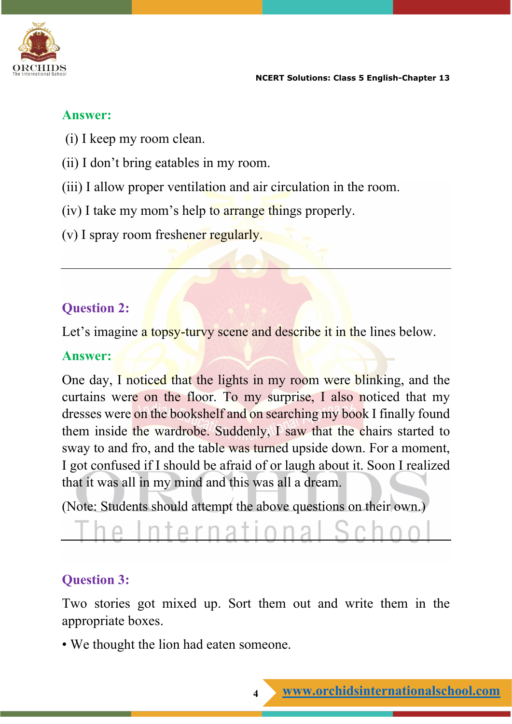

# **Answer:**

- (i) I keep my room clean.
- (ii) I don't bring eatables in my room.
- (iii) I allow proper ventilation and air circulation in the room.
- (iv) I take my mom's help to arrange things properly.
- (v) I spray room freshener regularly.

# **Question 2:**

Let's imagine a topsy-tury scene and describe it in the lines below.

# **Answer:**

One day, I noticed that the lights in my room were blinking, and the curtains were on the floor. To my surprise, I also noticed that my dresses were on the bookshelf and on searching my book I finally found them inside the wardrobe. Suddenly, I saw that the chairs started to sway to and fro, and the table was turned upside down. For a moment, I got confused if I should be afraid of or laugh about it. Soon I realized that it was all in my mind and this was all a dream.

(Note: Students should attempt the above questions on their own.)

# **Question 3:**

Two stories got mixed up. Sort them out and write them in the appropriate boxes.

• We thought the lion had eaten someone.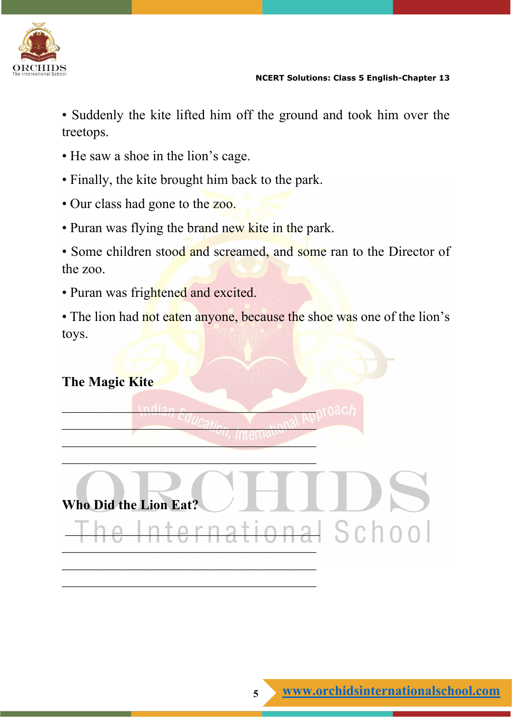

• Suddenly the kite lifted him off the ground and took him over the treetops.

- He saw a shoe in the lion's cage.
- Finally, the kite brought him back to the park.
- Our class had gone to the zoo.
- Puran was flying the brand new kite in the park.

 $\nu$  $U_{Cat}$   $\rightarrow$   $U_{Cat}$   $\rightarrow$   $U_{Cat}$  $\ldots$  . Thence

 $\overline{\phantom{a}}$  , and the set of the set of the set of the set of the set of the set of the set of the set of the set of the set of the set of the set of the set of the set of the set of the set of the set of the set of the s

- Some children stood and screamed, and some ran to the Director of the zoo.
- Puran was frightened and excited.
- The lion had not eaten anyone, because the shoe was one of the lion's toys.

# **The Magic Kite**